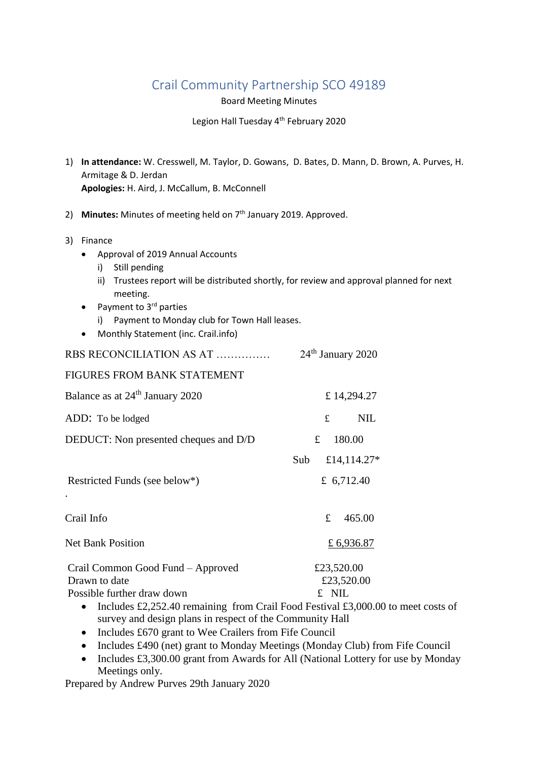## Crail Community Partnership SCO 49189

Board Meeting Minutes

Legion Hall Tuesday 4<sup>th</sup> February 2020

- 1) **In attendance:** W. Cresswell, M. Taylor, D. Gowans, D. Bates, D. Mann, D. Brown, A. Purves, H. Armitage & D. Jerdan **Apologies:** H. Aird, J. McCallum, B. McConnell
- 2) Minutes: Minutes of meeting held on 7<sup>th</sup> January 2019. Approved.
- 3) Finance
	- Approval of 2019 Annual Accounts
		- i) Still pending
		- ii) Trustees report will be distributed shortly, for review and approval planned for next meeting.
	- Payment to  $3<sup>rd</sup>$  parties
		- i) Payment to Monday club for Town Hall leases.
	- Monthly Statement (inc. Crail.info)

| RBS RECONCILIATION AS AT                                                               | 24 <sup>th</sup> January 2020 |  |
|----------------------------------------------------------------------------------------|-------------------------------|--|
| FIGURES FROM BANK STATEMENT                                                            |                               |  |
| Balance as at 24 <sup>th</sup> January 2020                                            | £14,294.27                    |  |
| ADD: To be lodged                                                                      | £<br><b>NIL</b>               |  |
| DEDUCT: Non presented cheques and D/D                                                  | £<br>180.00                   |  |
|                                                                                        | Sub<br>£14,114.27*            |  |
| Restricted Funds (see below*)                                                          | £ $6,712.40$                  |  |
| Crail Info                                                                             | £<br>465.00                   |  |
| <b>Net Bank Position</b>                                                               | £ 6,936.87                    |  |
| Crail Common Good Fund - Approved                                                      | £23,520.00                    |  |
| Drawn to date                                                                          | £23,520.00                    |  |
| Possible further draw down                                                             | £ NIL                         |  |
| • Includes $f2.252$ 40 remaining from Crail Eood Eastivel $f3.000.00$ to meet costs of |                               |  |

- Includes £2,252.40 remaining from Crail Food Festival £3,000.00 to meet costs of survey and design plans in respect of the Community Hall
- Includes £670 grant to Wee Crailers from Fife Council
- Includes £490 (net) grant to Monday Meetings (Monday Club) from Fife Council
- Includes £3,300.00 grant from Awards for All (National Lottery for use by Monday Meetings only.

Prepared by Andrew Purves 29th January 2020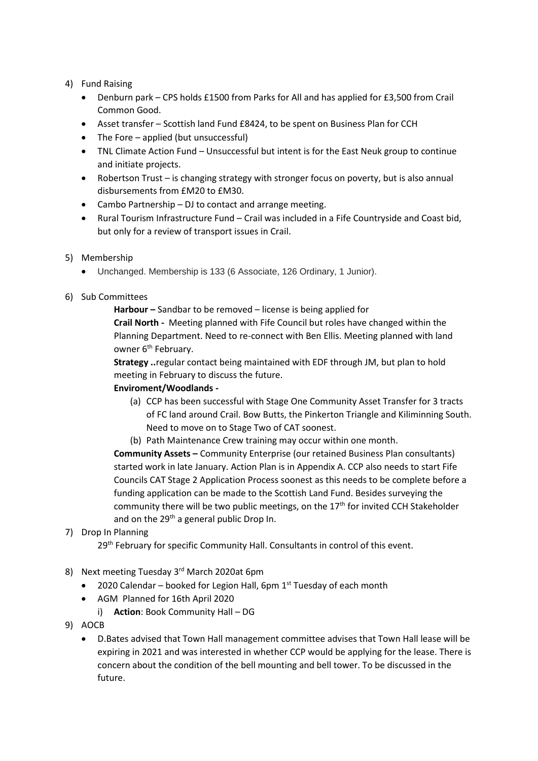## 4) Fund Raising

- Denburn park CPS holds £1500 from Parks for All and has applied for £3,500 from Crail Common Good.
- Asset transfer Scottish land Fund £8424, to be spent on Business Plan for CCH
- The Fore applied (but unsuccessful)
- TNL Climate Action Fund Unsuccessful but intent is for the East Neuk group to continue and initiate projects.
- Robertson Trust is changing strategy with stronger focus on poverty, but is also annual disbursements from £M20 to £M30.
- Cambo Partnership DJ to contact and arrange meeting.
- Rural Tourism Infrastructure Fund Crail was included in a Fife Countryside and Coast bid, but only for a review of transport issues in Crail.
- 5) Membership
	- Unchanged. Membership is 133 (6 Associate, 126 Ordinary, 1 Junior).
- 6) Sub Committees

**Harbour –** Sandbar to be removed – license is being applied for

**Crail North -** Meeting planned with Fife Council but roles have changed within the Planning Department. Need to re-connect with Ben Ellis. Meeting planned with land owner 6<sup>th</sup> February.

**Strategy ..**regular contact being maintained with EDF through JM, but plan to hold meeting in February to discuss the future.

## **Enviroment/Woodlands -**

- (a) CCP has been successful with Stage One Community Asset Transfer for 3 tracts of FC land around Crail. Bow Butts, the Pinkerton Triangle and Kiliminning South. Need to move on to Stage Two of CAT soonest.
- (b) Path Maintenance Crew training may occur within one month.

**Community Assets –** Community Enterprise (our retained Business Plan consultants) started work in late January. Action Plan is in Appendix A. CCP also needs to start Fife Councils CAT Stage 2 Application Process soonest as this needs to be complete before a funding application can be made to the Scottish Land Fund. Besides surveying the community there will be two public meetings, on the 17<sup>th</sup> for invited CCH Stakeholder and on the  $29<sup>th</sup>$  a general public Drop In.

## 7) Drop In Planning

29<sup>th</sup> February for specific Community Hall. Consultants in control of this event.

- 8) Next meeting Tuesday 3<sup>rd</sup> March 2020at 6pm
	- 2020 Calendar booked for Legion Hall, 6pm  $1<sup>st</sup>$  Tuesday of each month
	- AGM Planned for 16th April 2020
		- i) **Action**: Book Community Hall DG
- 9) AOCB
	- D.Bates advised that Town Hall management committee advises that Town Hall lease will be expiring in 2021 and was interested in whether CCP would be applying for the lease. There is concern about the condition of the bell mounting and bell tower. To be discussed in the future.